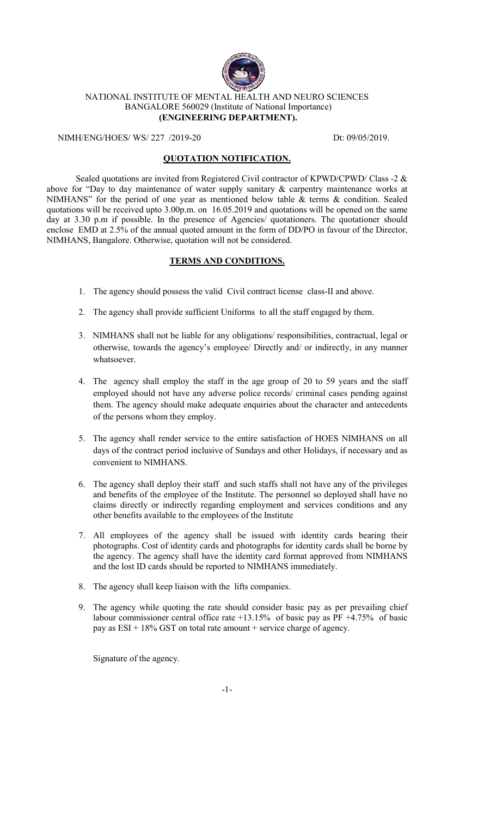

## NATIONAL INSTITUTE OF MENTAL HEALTH AND NEURO SCIENCES BANGALORE 560029 (Institute of National Importance) **(ENGINEERING DEPARTMENT).**

NIMH/ENG/HOES/ WS/ 227 /2019-20 Dt: 09/05/2019.

## **QUOTATION NOTIFICATION.**

Sealed quotations are invited from Registered Civil contractor of KPWD/CPWD/ Class -2 & above for "Day to day maintenance of water supply sanitary & carpentry maintenance works at NIMHANS" for the period of one year as mentioned below table & terms & condition. Sealed quotations will be received upto 3.00p.m. on 16.05.2019 and quotations will be opened on the same day at 3.30 p.m if possible. In the presence of Agencies/ quotationers. The quotationer should enclose EMD at 2.5% of the annual quoted amount in the form of DD/PO in favour of the Director, NIMHANS, Bangalore. Otherwise, quotation will not be considered.

## **TERMS AND CONDITIONS.**

- 1. The agency should possess the valid Civil contract license class-II and above.
- 2. The agency shall provide sufficient Uniforms to all the staff engaged by them.
- 3. NIMHANS shall not be liable for any obligations/ responsibilities, contractual, legal or otherwise, towards the agency's employee/ Directly and/ or indirectly, in any manner whatsoever.
- 4. The agency shall employ the staff in the age group of 20 to 59 years and the staff employed should not have any adverse police records/ criminal cases pending against them. The agency should make adequate enquiries about the character and antecedents of the persons whom they employ.
- 5. The agency shall render service to the entire satisfaction of HOES NIMHANS on all days of the contract period inclusive of Sundays and other Holidays, if necessary and as convenient to NIMHANS.
- 6. The agency shall deploy their staff and such staffs shall not have any of the privileges and benefits of the employee of the Institute. The personnel so deployed shall have no claims directly or indirectly regarding employment and services conditions and any other benefits available to the employees of the Institute
- 7. All employees of the agency shall be issued with identity cards bearing their photographs. Cost of identity cards and photographs for identity cards shall be borne by the agency. The agency shall have the identity card format approved from NIMHANS and the lost ID cards should be reported to NIMHANS immediately.
- 8. The agency shall keep liaison with the lifts companies.
- 9. The agency while quoting the rate should consider basic pay as per prevailing chief labour commissioner central office rate +13.15% of basic pay as PF +4.75% of basic pay as  $ESI + 18\%$  GST on total rate amount + service charge of agency.

Signature of the agency.